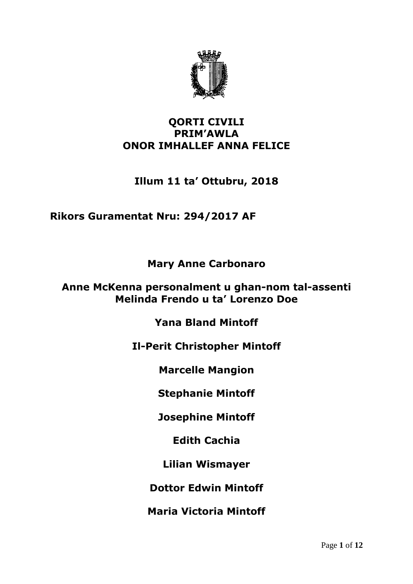

### **QORTI CIVILI PRIM'AWLA ONOR IMHALLEF ANNA FELICE**

# **Illum 11 ta' Ottubru, 2018**

## **Rikors Guramentat Nru: 294/2017 AF**

**Mary Anne Carbonaro**

#### **Anne McKenna personalment u ghan-nom tal-assenti Melinda Frendo u ta' Lorenzo Doe**

**Yana Bland Mintoff**

**Il-Perit Christopher Mintoff**

**Marcelle Mangion**

**Stephanie Mintoff**

**Josephine Mintoff**

**Edith Cachia**

**Lilian Wismayer**

**Dottor Edwin Mintoff**

**Maria Victoria Mintoff**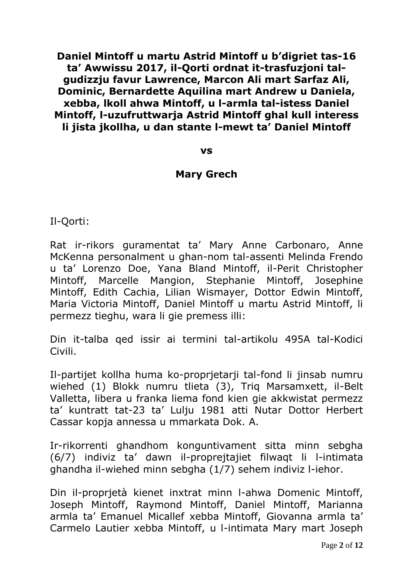**Daniel Mintoff u martu Astrid Mintoff u b'digriet tas-16 ta' Awwissu 2017, il-Qorti ordnat it-trasfuzjoni talgudizzju favur Lawrence, Marcon Ali mart Sarfaz Ali, Dominic, Bernardette Aquilina mart Andrew u Daniela, xebba, lkoll ahwa Mintoff, u l-armla tal-istess Daniel Mintoff, l-uzufruttwarja Astrid Mintoff ghal kull interess li jista jkollha, u dan stante l-mewt ta' Daniel Mintoff**

**vs**

#### **Mary Grech**

Il-Qorti:

Rat ir-rikors guramentat ta' Mary Anne Carbonaro, Anne McKenna personalment u ghan-nom tal-assenti Melinda Frendo u ta' Lorenzo Doe, Yana Bland Mintoff, il-Perit Christopher Mintoff, Marcelle Mangion, Stephanie Mintoff, Josephine Mintoff, Edith Cachia, Lilian Wismayer, Dottor Edwin Mintoff, Maria Victoria Mintoff, Daniel Mintoff u martu Astrid Mintoff, li permezz tieghu, wara li gie premess illi:

Din it-talba qed issir ai termini tal-artikolu 495A tal-Kodici Civili.

Il-partijet kollha huma ko-proprjetarji tal-fond li jinsab numru wiehed (1) Blokk numru tlieta (3), Triq Marsamxett, il-Belt Valletta, libera u franka liema fond kien gie akkwistat permezz ta' kuntratt tat-23 ta' Lulju 1981 atti Nutar Dottor Herbert Cassar kopja annessa u mmarkata Dok. A.

Ir-rikorrenti ghandhom konguntivament sitta minn sebgha (6/7) indiviz ta' dawn il-proprejtajiet filwaqt li l-intimata ghandha il-wiehed minn sebgha (1/7) sehem indiviz l-iehor.

Din il-proprjetà kienet inxtrat minn l-ahwa Domenic Mintoff, Joseph Mintoff, Raymond Mintoff, Daniel Mintoff, Marianna armla ta' Emanuel Micallef xebba Mintoff, Giovanna armla ta' Carmelo Lautier xebba Mintoff, u l-intimata Mary mart Joseph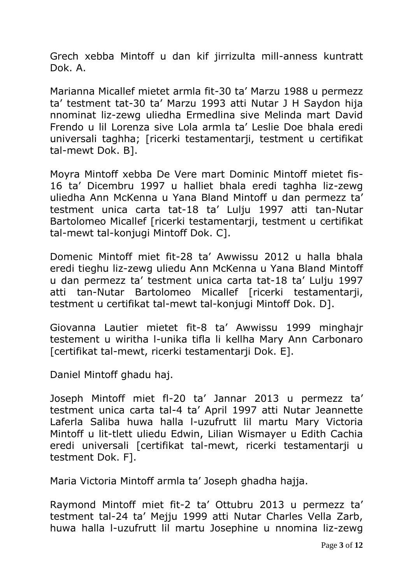Grech xebba Mintoff u dan kif jirrizulta mill-anness kuntratt Dok. A.

Marianna Micallef mietet armla fit-30 ta' Marzu 1988 u permezz ta' testment tat-30 ta' Marzu 1993 atti Nutar J H Saydon hija nnominat liz-zewg uliedha Ermedlina sive Melinda mart David Frendo u lil Lorenza sive Lola armla ta' Leslie Doe bhala eredi universali taghha; [ricerki testamentarji, testment u certifikat tal-mewt Dok. B].

Moyra Mintoff xebba De Vere mart Dominic Mintoff mietet fis-16 ta' Dicembru 1997 u halliet bhala eredi taghha liz-zewg uliedha Ann McKenna u Yana Bland Mintoff u dan permezz ta' testment unica carta tat-18 ta' Lulju 1997 atti tan-Nutar Bartolomeo Micallef [ricerki testamentarji, testment u certifikat tal-mewt tal-konjugi Mintoff Dok. C].

Domenic Mintoff miet fit-28 ta' Awwissu 2012 u halla bhala eredi tieghu liz-zewg uliedu Ann McKenna u Yana Bland Mintoff u dan permezz ta' testment unica carta tat-18 ta' Lulju 1997 atti tan-Nutar Bartolomeo Micallef [ricerki testamentarji, testment u certifikat tal-mewt tal-konjugi Mintoff Dok. D].

Giovanna Lautier mietet fit-8 ta' Awwissu 1999 minghajr testement u wiritha l-unika tifla li kellha Mary Ann Carbonaro [certifikat tal-mewt, ricerki testamentarji Dok. E].

Daniel Mintoff ghadu haj.

Joseph Mintoff miet fl-20 ta' Jannar 2013 u permezz ta' testment unica carta tal-4 ta' April 1997 atti Nutar Jeannette Laferla Saliba huwa halla l-uzufrutt lil martu Mary Victoria Mintoff u lit-tlett uliedu Edwin, Lilian Wismayer u Edith Cachia eredi universali [certifikat tal-mewt, ricerki testamentarji u testment Dok. F].

Maria Victoria Mintoff armla ta' Joseph ghadha hajja.

Raymond Mintoff miet fit-2 ta' Ottubru 2013 u permezz ta' testment tal-24 ta' Mejju 1999 atti Nutar Charles Vella Zarb, huwa halla l-uzufrutt lil martu Josephine u nnomina liz-zewg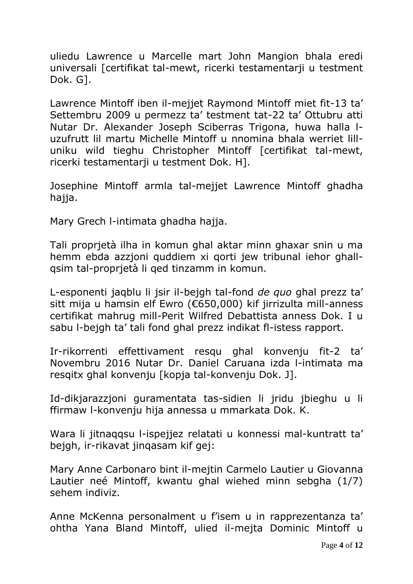uliedu Lawrence u Marcelle mart John Mangion bhala eredi universali [certifikat tal-mewt, ricerki testamentarii u testment Dok. G].

Lawrence Mintoff iben il-mejjet Raymond Mintoff miet fit-13 ta' Settembru 2009 u permezz ta' testment tat-22 ta' Ottubru atti Nutar Dr. Alexander Joseph Sciberras Trigona, huwa halla luzufrutt lil martu Michelle Mintoff u nnomina bhala werriet lilluniku wild tieghu Christopher Mintoff [certifikat tal-mewt, ricerki testamentarji u testment Dok. H].

Josephine Mintoff armla tal-mejjet Lawrence Mintoff ghadha hajja.

Mary Grech l-intimata ghadha hajja.

Tali proprjetà ilha in komun ghal aktar minn ghaxar snin u ma hemm ebda azzjoni quddiem xi qorti jew tribunal iehor ghallqsim tal-proprjetà li qed tinzamm in komun.

L-esponenti jaqblu li jsir il-bejgh tal-fond *de quo* ghal prezz ta' sitt mija u hamsin elf Ewro (€650,000) kif jirrizulta mill-anness certifikat mahrug mill-Perit Wilfred Debattista anness Dok. I u sabu l-bejgh ta' tali fond ghal prezz indikat fl-istess rapport.

Ir-rikorrenti effettivament resqu ghal konvenju fit-2 ta' Novembru 2016 Nutar Dr. Daniel Caruana izda l-intimata ma resqitx ghal konvenju [kopja tal-konvenju Dok. J].

Id-dikjarazzjoni guramentata tas-sidien li jridu jbieghu u li ffirmaw l-konvenju hija annessa u mmarkata Dok. K.

Wara li jitnaqqsu l-ispejjez relatati u konnessi mal-kuntratt ta' bejgh, ir-rikavat jinqasam kif gej:

Mary Anne Carbonaro bint il-mejtin Carmelo Lautier u Giovanna Lautier neé Mintoff, kwantu ghal wiehed minn sebgha (1/7) sehem indiviz.

Anne McKenna personalment u f'isem u in rapprezentanza ta' ohtha Yana Bland Mintoff, ulied il-mejta Dominic Mintoff u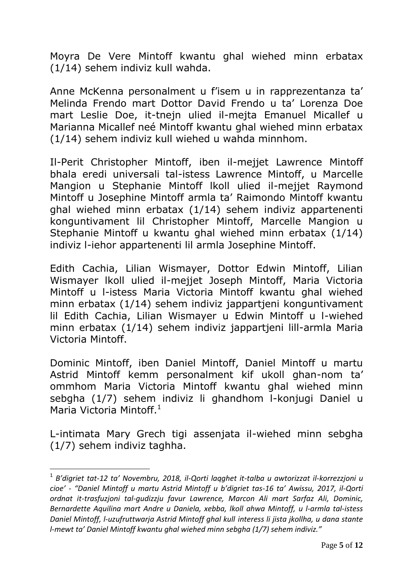Moyra De Vere Mintoff kwantu ghal wiehed minn erbatax (1/14) sehem indiviz kull wahda.

Anne McKenna personalment u f'isem u in rapprezentanza ta' Melinda Frendo mart Dottor David Frendo u ta' Lorenza Doe mart Leslie Doe, it-tnejn ulied il-mejta Emanuel Micallef u Marianna Micallef neé Mintoff kwantu ghal wiehed minn erbatax (1/14) sehem indiviz kull wiehed u wahda minnhom.

Il-Perit Christopher Mintoff, iben il-mejjet Lawrence Mintoff bhala eredi universali tal-istess Lawrence Mintoff, u Marcelle Mangion u Stephanie Mintoff lkoll ulied il-mejjet Raymond Mintoff u Josephine Mintoff armla ta' Raimondo Mintoff kwantu ghal wiehed minn erbatax (1/14) sehem indiviz appartenenti konguntivament lil Christopher Mintoff, Marcelle Mangion u Stephanie Mintoff u kwantu ghal wiehed minn erbatax (1/14) indiviz l-iehor appartenenti lil armla Josephine Mintoff.

Edith Cachia, Lilian Wismayer, Dottor Edwin Mintoff, Lilian Wismayer lkoll ulied il-mejjet Joseph Mintoff, Maria Victoria Mintoff u l-istess Maria Victoria Mintoff kwantu ghal wiehed minn erbatax (1/14) sehem indiviz jappartjeni konguntivament lil Edith Cachia, Lilian Wismayer u Edwin Mintoff u l-wiehed minn erbatax (1/14) sehem indiviz jappartjeni lill-armla Maria Victoria Mintoff.

Dominic Mintoff, iben Daniel Mintoff, Daniel Mintoff u martu Astrid Mintoff kemm personalment kif ukoll ghan-nom ta' ommhom Maria Victoria Mintoff kwantu ghal wiehed minn sebgha (1/7) sehem indiviz li ghandhom l-konjugi Daniel u Maria Victoria Mintoff.<sup>1</sup>

L-intimata Mary Grech tigi assenjata il-wiehed minn sebgha (1/7) sehem indiviz taghha.

1

<sup>1</sup> *B'digriet tat-12 ta' Novembru, 2018, il-Qorti laqghet it-talba u awtorizzat il-korrezzjoni u cioe'* - *"Daniel Mintoff u martu Astrid Mintoff u b'digriet tas-16 ta' Awissu, 2017, il-Qorti ordnat it-trasfuzjoni tal-gudizzju favur Lawrence, Marcon Ali mart Sarfaz Ali, Dominic, Bernardette Aquilina mart Andre u Daniela, xebba, lkoll ahwa Mintoff, u l-armla tal-istess Daniel Mintoff, l-uzufruttwarja Astrid Mintoff ghal kull interess li jista jkollha, u dana stante l-mewt ta' Daniel Mintoff kwantu ghal wiehed minn sebgha (1/7) sehem indiviz."*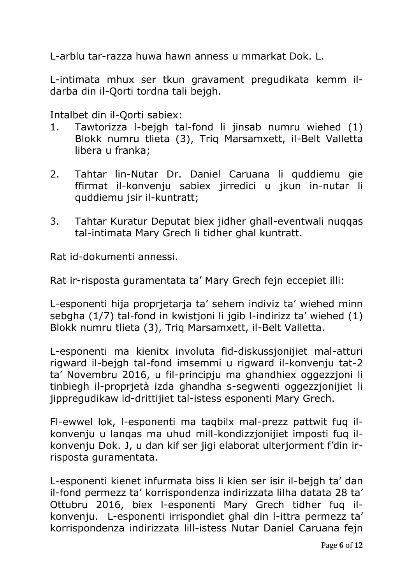L-arblu tar-razza huwa hawn anness u mmarkat Dok. L.

L-intimata mhux ser tkun gravament pregudikata kemm ildarba din il-Qorti tordna tali bejgh.

Intalbet din il-Qorti sabiex:

- 1. Tawtorizza l-bejgh tal-fond li jinsab numru wiehed (1) Blokk numru tlieta (3), Triq Marsamxett, il-Belt Valletta libera u franka;
- 2. Tahtar lin-Nutar Dr. Daniel Caruana li quddiemu gie ffirmat il-konvenju sabiex jirredici u jkun in-nutar li quddiemu jsir il-kuntratt;
- 3. Tahtar Kuratur Deputat biex jidher ghall-eventwali nuqqas tal-intimata Mary Grech li tidher ghal kuntratt.

Rat id-dokumenti annessi.

Rat ir-risposta guramentata ta' Mary Grech fejn eccepiet illi:

L-esponenti hija proprjetarja ta' sehem indiviz ta' wiehed minn sebgha (1/7) tal-fond in kwistjoni li jgib l-indirizz ta' wiehed (1) Blokk numru tlieta (3), Triq Marsamxett, il-Belt Valletta.

L-esponenti ma kienitx involuta fid-diskussjonijiet mal-atturi rigward il-bejgh tal-fond imsemmi u rigward il-konvenju tat-2 ta' Novembru 2016, u fil-principju ma ghandhiex oggezzjoni li tinbiegh il-proprjetà izda ghandha s-segwenti oggezzjonijiet li jippregudikaw id-drittijiet tal-istess esponenti Mary Grech.

Fl-ewwel lok, l-esponenti ma taqbilx mal-prezz pattwit fuq ilkonvenju u lanqas ma uhud mill-kondizzjonijiet imposti fuq ilkonvenju Dok. J, u dan kif ser jigi elaborat ulterjorment f'din irrisposta guramentata.

L-esponenti kienet infurmata biss li kien ser isir il-bejgh ta' dan il-fond permezz ta' korrispondenza indirizzata lilha datata 28 ta' Ottubru 2016, biex l-esponenti Mary Grech tidher fuq ilkonvenju. L-esponenti irrispondiet ghal din l-ittra permezz ta' korrispondenza indirizzata lill-istess Nutar Daniel Caruana fejn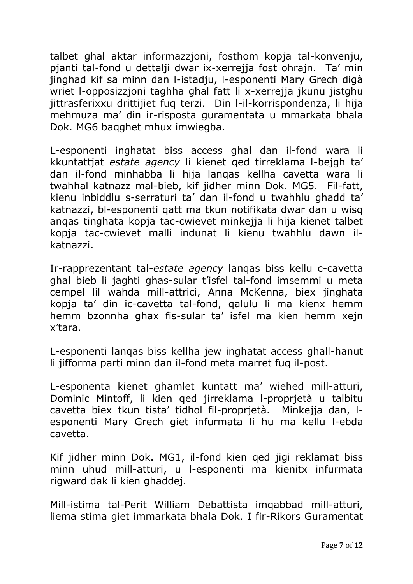talbet ghal aktar informazzjoni, fosthom kopja tal-konvenju, pjanti tal-fond u dettalji dwar ix-xerrejja fost ohrajn. Ta' min jinghad kif sa minn dan l-istadju, l-esponenti Mary Grech digà wriet l-opposizzjoni taghha ghal fatt li x-xerrejja jkunu jistghu jittrasferixxu drittijiet fuq terzi. Din l-il-korrispondenza, li hija mehmuza ma' din ir-risposta guramentata u mmarkata bhala Dok. MG6 baqghet mhux imwiegba.

L-esponenti inghatat biss access ghal dan il-fond wara li kkuntattjat *estate agency* li kienet qed tirreklama l-bejgh ta' dan il-fond minhabba li hija lanqas kellha cavetta wara li twahhal katnazz mal-bieb, kif jidher minn Dok. MG5. Fil-fatt, kienu inbiddlu s-serraturi ta' dan il-fond u twahhlu ghadd ta' katnazzi, bl-esponenti qatt ma tkun notifikata dwar dan u wisq anqas tinghata kopja tac-cwievet minkejja li hija kienet talbet kopja tac-cwievet malli indunat li kienu twahhlu dawn ilkatnazzi.

Ir-rapprezentant tal-*estate agency* lanqas biss kellu c-cavetta ghal bieb li jaghti ghas-sular t'isfel tal-fond imsemmi u meta cempel lil wahda mill-attrici, Anna McKenna, biex jinghata kopja ta' din ic-cavetta tal-fond, qalulu li ma kienx hemm hemm bzonnha ghax fis-sular ta' isfel ma kien hemm xejn x'tara.

L-esponenti lanqas biss kellha jew inghatat access ghall-hanut li jifforma parti minn dan il-fond meta marret fuq il-post.

L-esponenta kienet ghamlet kuntatt ma' wiehed mill-atturi, Dominic Mintoff, li kien qed jirreklama l-proprjetà u talbitu cavetta biex tkun tista' tidhol fil-proprjetà. Minkejja dan, lesponenti Mary Grech giet infurmata li hu ma kellu l-ebda cavetta.

Kif jidher minn Dok. MG1, il-fond kien qed jigi reklamat biss minn uhud mill-atturi, u l-esponenti ma kienitx infurmata rigward dak li kien ghaddej.

Mill-istima tal-Perit William Debattista imqabbad mill-atturi, liema stima giet immarkata bhala Dok. I fir-Rikors Guramentat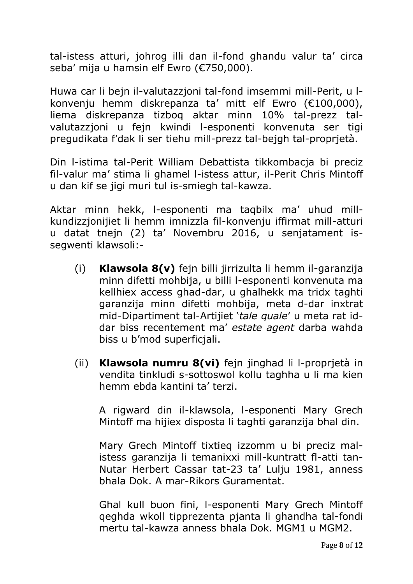tal-istess atturi, johrog illi dan il-fond ghandu valur ta' circa seba' mija u hamsin elf Ewro (€750,000).

Huwa car li bejn il-valutazzjoni tal-fond imsemmi mill-Perit, u lkonvenju hemm diskrepanza ta' mitt elf Ewro (€100,000), liema diskrepanza tizboq aktar minn 10% tal-prezz talvalutazzjoni u fejn kwindi l-esponenti konvenuta ser tigi pregudikata f'dak li ser tiehu mill-prezz tal-bejgh tal-proprjetà.

Din l-istima tal-Perit William Debattista tikkombacja bi preciz fil-valur ma' stima li ghamel l-istess attur, il-Perit Chris Mintoff u dan kif se jigi muri tul is-smiegh tal-kawza.

Aktar minn hekk, l-esponenti ma taqbilx ma' uhud millkundizzjonijiet li hemm imnizzla fil-konvenju iffirmat mill-atturi u datat tnejn (2) ta' Novembru 2016, u senjatament issegwenti klawsoli:-

- (i) **Klawsola 8(v)** fejn billi jirrizulta li hemm il-garanzija minn difetti mohbija, u billi l-esponenti konvenuta ma kellhiex access ghad-dar, u ghalhekk ma tridx taghti garanzija minn difetti mohbija, meta d-dar inxtrat mid-Dipartiment tal-Artijiet '*tale quale*' u meta rat iddar biss recentement ma' *estate agent* darba wahda biss u b'mod superficjali.
- (ii) **Klawsola numru 8(vi)** fejn jinghad li l-proprjetà in vendita tinkludi s-sottoswol kollu taghha u li ma kien hemm ebda kantini ta' terzi.

A rigward din il-klawsola, l-esponenti Mary Grech Mintoff ma hijiex disposta li taghti garanzija bhal din.

Mary Grech Mintoff tixtieq izzomm u bi preciz malistess garanzija li temanixxi mill-kuntratt fl-atti tan-Nutar Herbert Cassar tat-23 ta' Lulju 1981, anness bhala Dok. A mar-Rikors Guramentat.

Ghal kull buon fini, l-esponenti Mary Grech Mintoff qeghda wkoll tipprezenta pjanta li ghandha tal-fondi mertu tal-kawza anness bhala Dok. MGM1 u MGM2.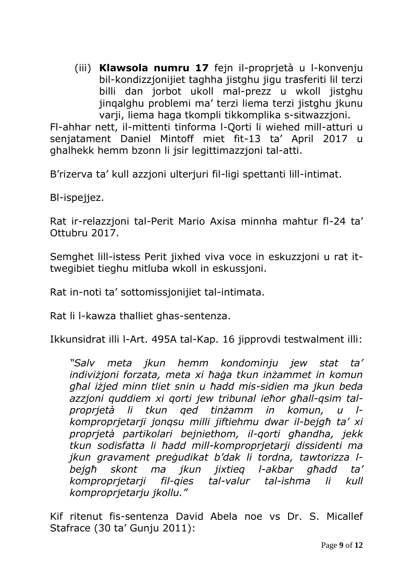(iii) **Klawsola numru 17** fejn il-proprjetà u l-konvenju bil-kondizzjonijiet taghha jistghu jigu trasferiti lil terzi billi dan jorbot ukoll mal-prezz u wkoll jistghu jinqalghu problemi ma' terzi liema terzi jistghu jkunu varji, liema haga tkompli tikkomplika s-sitwazzjoni.

Fl-ahhar nett, il-mittenti tinforma l-Qorti li wiehed mill-atturi u senjatament Daniel Mintoff miet fit-13 ta' April 2017 u ghalhekk hemm bzonn li jsir legittimazzjoni tal-atti.

B'rizerva ta' kull azzjoni ulterjuri fil-ligi spettanti lill-intimat.

Bl-ispejjez.

Rat ir-relazzjoni tal-Perit Mario Axisa minnha mahtur fl-24 ta' Ottubru 2017.

Semghet lill-istess Perit jixhed viva voce in eskuzzjoni u rat ittwegibiet tieghu mitluba wkoll in eskussjoni.

Rat in-noti ta' sottomissjonijiet tal-intimata.

Rat li l-kawza thalliet ghas-sentenza.

Ikkunsidrat illi l-Art. 495A tal-Kap. 16 jipprovdi testwalment illi:

*"Salv meta jkun hemm kondominju jew stat ta' indiviżjoni forzata, meta xi ħaġa tkun inżammet in komun għal iżjed minn tliet snin u ħadd mis-sidien ma jkun beda azzjoni quddiem xi qorti jew tribunal ieħor għall-qsim talproprjetà li tkun qed tinżamm in komun, u lkomproprjetarji jonqsu milli jiftiehmu dwar il-bejgħ ta' xi proprjetà partikolari bejniethom, il-qorti għandha, jekk tkun sodisfatta li ħadd mill-komproprjetarji dissidenti ma jkun gravament preġudikat b'dak li tordna, tawtorizza lbejgħ skont ma jkun jixtieq l-akbar għadd ta' komproprjetarji fil-qies tal-valur tal-ishma li kull komproprjetarju jkollu."*

Kif ritenut fis-sentenza David Abela noe vs Dr. S. Micallef Stafrace (30 ta' Gunju 2011):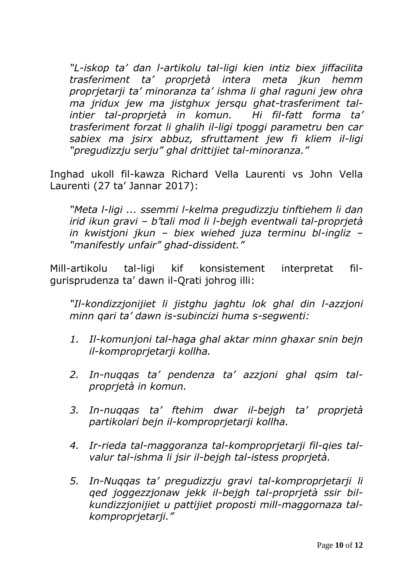*"L-iskop ta' dan l-artikolu tal-ligi kien intiz biex jiffacilita trasferiment ta' proprjetà intera meta jkun hemm proprjetarji ta' minoranza ta' ishma li ghal raguni jew ohra ma jridux jew ma jistghux jersqu ghat-trasferiment talintier tal-proprjetà in komun. Hi fil-fatt forma ta' trasferiment forzat li ghalih il-ligi tpoggi parametru ben car sabiex ma jsirx abbuz, sfruttament jew fi kliem il-ligi "pregudizzju serju" ghal drittijiet tal-minoranza."*

Inghad ukoll fil-kawza Richard Vella Laurenti vs John Vella Laurenti (27 ta' Jannar 2017):

*"Meta l-ligi ... ssemmi l-kelma pregudizzju tinftiehem li dan irid ikun gravi – b'tali mod li l-bejgh eventwali tal-proprjetà in kwistjoni jkun – biex wiehed juza terminu bl-ingliz – "manifestly unfair" ghad-dissident."*

Mill-artikolu tal-ligi kif konsistement interpretat filgurisprudenza ta' dawn il-Qrati johrog illi:

*"Il-kondizzjonijiet li jistghu jaghtu lok ghal din l-azzjoni minn qari ta' dawn is-subincizi huma s-segwenti:*

- *1. Il-komunjoni tal-haga ghal aktar minn ghaxar snin bejn il-komproprjetarji kollha.*
- *2. In-nuqqas ta' pendenza ta' azzjoni ghal qsim talproprjetà in komun.*
- *3. In-nuqqas ta' ftehim dwar il-bejgh ta' proprjetà partikolari bejn il-komproprjetarji kollha.*
- *4. Ir-rieda tal-maggoranza tal-komproprjetarji fil-qies talvalur tal-ishma li jsir il-bejgh tal-istess proprjetà.*
- *5. In-Nuqqas ta' pregudizzju gravi tal-komproprjetarji li qed joggezzjonaw jekk il-bejgh tal-proprjetà ssir bilkundizzjonijiet u pattijiet proposti mill-maggornaza talkomproprjetarji."*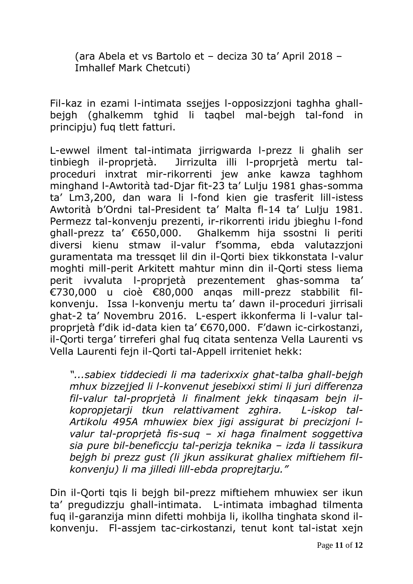(ara Abela et vs Bartolo et – deciza 30 ta' April 2018 – Imhallef Mark Chetcuti)

Fil-kaz in ezami l-intimata ssejjes l-opposizzjoni taghha ghallbejgh (ghalkemm tghid li taqbel mal-bejgh tal-fond in principju) fuq tlett fatturi.

L-ewwel ilment tal-intimata jirrigwarda l-prezz li ghalih ser tinbiegh il-proprjetà. Jirrizulta illi l-proprjetà mertu talproceduri inxtrat mir-rikorrenti jew anke kawza taghhom minghand l-Awtorità tad-Djar fit-23 ta' Lulju 1981 ghas-somma ta' Lm3,200, dan wara li l-fond kien gie trasferit lill-istess Awtorità b'Ordni tal-President ta' Malta fl-14 ta' Lulju 1981. Permezz tal-konvenju prezenti, ir-rikorrenti iridu jbieghu l-fond ghall-prezz ta' €650,000. Ghalkemm hija ssostni li periti diversi kienu stmaw il-valur f'somma, ebda valutazzjoni guramentata ma tressqet lil din il-Qorti biex tikkonstata l-valur moghti mill-perit Arkitett mahtur minn din il-Qorti stess liema perit ivvaluta l-proprjetà prezentement ghas-somma ta' €730,000 u cioè €80,000 anqas mill-prezz stabbilit filkonvenju. Issa l-konvenju mertu ta' dawn il-proceduri jirrisali ghat-2 ta' Novembru 2016. L-espert ikkonferma li l-valur talproprjetà f'dik id-data kien ta' €670,000. F'dawn ic-cirkostanzi, il-Qorti terga' tirreferi ghal fuq citata sentenza Vella Laurenti vs Vella Laurenti fejn il-Qorti tal-Appell irriteniet hekk:

*"...sabiex tiddeciedi li ma taderixxix ghat-talba ghall-bejgh mhux bizzejjed li l-konvenut jesebixxi stimi li juri differenza fil-valur tal-proprjetà li finalment jekk tinqasam bejn ilkopropjetarji tkun relattivament zghira. L-iskop tal-Artikolu 495A mhuwiex biex jigi assigurat bi precizjoni lvalur tal-proprjetà fis-suq – xi haga finalment soggettiva sia pure bil-beneficcju tal-perizja teknika – izda li tassikura bejgh bi prezz gust (li jkun assikurat ghaliex miftiehem filkonvenju) li ma jilledi lill-ebda proprejtarju."*

Din il-Qorti tqis li bejgh bil-prezz miftiehem mhuwiex ser ikun ta' pregudizzju ghall-intimata. L-intimata imbaghad tilmenta fuq il-garanzija minn difetti mohbija li, ikollha tinghata skond ilkonvenju. Fl-assjem tac-cirkostanzi, tenut kont tal-istat xejn